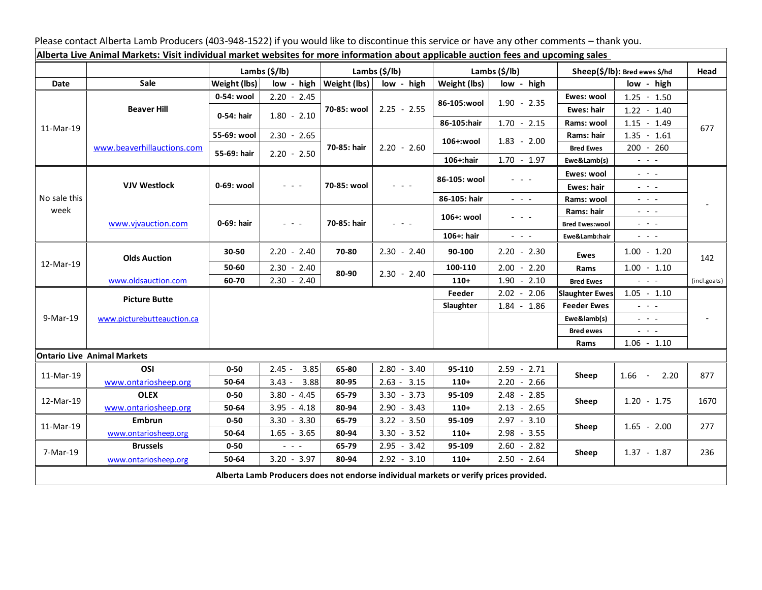Please contact Alberta Lamb Producers (403-948-1522) if you would like to discontinue this service or have any other comments – thank you.

| Alberta Live Animal Markets: Visit individual market websites for more information about applicable auction fees and upcoming sales |                            |                           |                                                                                                                           |                           |                                                                                                                           |                           |                                                                 |                               |                                                             |              |
|-------------------------------------------------------------------------------------------------------------------------------------|----------------------------|---------------------------|---------------------------------------------------------------------------------------------------------------------------|---------------------------|---------------------------------------------------------------------------------------------------------------------------|---------------------------|-----------------------------------------------------------------|-------------------------------|-------------------------------------------------------------|--------------|
|                                                                                                                                     |                            | Lambs $(\frac{2}{3})$ lb) |                                                                                                                           | Lambs $(\frac{2}{3})$ lb) |                                                                                                                           | Lambs $(\frac{2}{3})$ lb) |                                                                 | Sheep(\$/lb): Bred ewes \$/hd |                                                             | Head         |
| Date                                                                                                                                | Sale                       | Weight (lbs)              | low - high                                                                                                                | <b>Weight (lbs)</b>       | low - high                                                                                                                | Weight (lbs)              | low - high                                                      |                               | low - high                                                  |              |
| 11-Mar-19                                                                                                                           | <b>Beaver Hill</b>         | 0-54: wool                | $2.20 - 2.45$                                                                                                             | 70-85: wool               | $2.25 - 2.55$                                                                                                             | 86-105:wool               | $1.90 - 2.35$                                                   | Ewes: wool                    | $1.25 - 1.50$                                               |              |
|                                                                                                                                     |                            | 0-54: hair                | $1.80 - 2.10$                                                                                                             |                           |                                                                                                                           |                           |                                                                 | Ewes: hair                    | $1.22 - 1.40$                                               |              |
|                                                                                                                                     |                            |                           |                                                                                                                           |                           |                                                                                                                           | 86-105:hair               | $1.70 - 2.15$                                                   | Rams: wool                    | $1.15 - 1.49$                                               | 677          |
|                                                                                                                                     | www.beaverhillauctions.com | 55-69: wool               | $2.30 - 2.65$                                                                                                             | 70-85: hair               | $2.20 - 2.60$                                                                                                             | 106+:wool                 | $1.83 - 2.00$                                                   | Rams: hair                    | $1.35 - 1.61$                                               |              |
|                                                                                                                                     |                            | 55-69: hair               | $2.20 - 2.50$                                                                                                             |                           |                                                                                                                           |                           |                                                                 | <b>Bred Ewes</b>              | $200 - 260$                                                 |              |
|                                                                                                                                     |                            |                           |                                                                                                                           |                           |                                                                                                                           | 106+:hair                 | $1.70 - 1.97$                                                   | Ewe&Lamb(s)                   | $\sim$ $\sim$ $\sim$                                        |              |
| No sale this<br>week                                                                                                                | <b>VJV Westlock</b>        | 0-69: wool                | $\frac{1}{2} \left( \frac{1}{2} \right) \left( \frac{1}{2} \right) \left( \frac{1}{2} \right) \left( \frac{1}{2} \right)$ | 70-85: wool               | $\frac{1}{2} \left( \frac{1}{2} \right) \left( \frac{1}{2} \right) \left( \frac{1}{2} \right) \left( \frac{1}{2} \right)$ | 86-105: wool              |                                                                 | Ewes: wool                    | $  -$                                                       |              |
|                                                                                                                                     |                            |                           |                                                                                                                           |                           |                                                                                                                           |                           |                                                                 | Ewes: hair                    | $\omega_{\rm{eff}} = \omega_{\rm{eff}} - \omega_{\rm{eff}}$ |              |
|                                                                                                                                     |                            |                           |                                                                                                                           |                           |                                                                                                                           | 86-105: hair              | $\omega_{\rm{eff}}$ , $\omega_{\rm{eff}}$ , $\omega_{\rm{eff}}$ | Rams: wool                    | $  -$                                                       |              |
|                                                                                                                                     | www.vjvauction.com         | 0-69: hair                | $  -$                                                                                                                     | 70-85: hair               | $\frac{1}{2} \left( \frac{1}{2} \right) \frac{1}{2} \left( \frac{1}{2} \right) \frac{1}{2} \left( \frac{1}{2} \right)$    | 106+: wool                | $  -$                                                           | Rams: hair                    | $  -$                                                       |              |
|                                                                                                                                     |                            |                           |                                                                                                                           |                           |                                                                                                                           |                           |                                                                 | <b>Bred Ewes:wool</b>         | $  -$                                                       |              |
|                                                                                                                                     |                            |                           |                                                                                                                           |                           |                                                                                                                           | 106+: hair                | $  -$                                                           | Ewe&Lamb:hair                 | $ -$                                                        |              |
| 12-Mar-19                                                                                                                           | <b>Olds Auction</b>        | 30-50                     | $2.20 - 2.40$                                                                                                             | 70-80                     | $2.30 - 2.40$                                                                                                             | 90-100                    | $2.20 - 2.30$                                                   | Ewes                          | $1.00 - 1.20$                                               | 142          |
|                                                                                                                                     |                            | 50-60                     | $2.30 - 2.40$                                                                                                             | 80-90                     | $2.30 - 2.40$                                                                                                             | 100-110                   | $2.00 - 2.20$                                                   | Rams                          | $1.00 - 1.10$                                               |              |
|                                                                                                                                     | www.oldsauction.com        | 60-70                     | $2.30 - 2.40$                                                                                                             |                           |                                                                                                                           | $110+$                    | $1.90 - 2.10$                                                   | <b>Bred Ewes</b>              | $ -$                                                        | (incl.goats) |
| 9-Mar-19                                                                                                                            | <b>Picture Butte</b>       |                           |                                                                                                                           |                           |                                                                                                                           | Feeder                    | $2.02 - 2.06$                                                   | <b>Slaughter Ewes</b>         | $1.05 - 1.10$                                               |              |
|                                                                                                                                     | www.picturebutteauction.ca |                           |                                                                                                                           |                           |                                                                                                                           | Slaughter                 | $1.84 - 1.86$                                                   | <b>Feeder Ewes</b>            | $  -$                                                       |              |
|                                                                                                                                     |                            |                           |                                                                                                                           |                           |                                                                                                                           |                           |                                                                 | Ewe&lamb(s)                   | $  -$                                                       |              |
|                                                                                                                                     |                            |                           |                                                                                                                           |                           |                                                                                                                           |                           |                                                                 | <b>Bred ewes</b>              | $\omega_{\rm{eff}} = \omega_{\rm{eff}} - \omega_{\rm{eff}}$ |              |
|                                                                                                                                     |                            |                           |                                                                                                                           |                           |                                                                                                                           |                           |                                                                 | Rams                          | $1.06 - 1.10$                                               |              |
| <b>Ontario Live Animal Markets</b>                                                                                                  |                            |                           |                                                                                                                           |                           |                                                                                                                           |                           |                                                                 |                               |                                                             |              |
| 11-Mar-19                                                                                                                           | OSI                        | $0 - 50$                  | 3.85<br>$2.45 -$                                                                                                          | 65-80                     | $2.80 - 3.40$                                                                                                             | 95-110                    | $2.59 - 2.71$                                                   | Sheep                         | 1.66<br>2.20<br>$\sim$                                      | 877          |
|                                                                                                                                     | www.ontariosheep.org       | 50-64                     | 3.88<br>$3.43 -$                                                                                                          | 80-95                     | $2.63 - 3.15$                                                                                                             | $110+$                    | $2.20 - 2.66$                                                   |                               |                                                             |              |
| 12-Mar-19                                                                                                                           | <b>OLEX</b>                | $0 - 50$                  | 3.80<br>4.45<br>$\sim$                                                                                                    | 65-79                     | $3.30 - 3.73$                                                                                                             | 95-109                    | $2.48 - 2.85$                                                   | Sheep                         | $1.20 - 1.75$                                               | 1670         |
|                                                                                                                                     | www.ontariosheep.org       | 50-64                     | 3.95<br>$-4.18$                                                                                                           | 80-94                     | $2.90 - 3.43$                                                                                                             | $110+$                    | $2.13 - 2.65$                                                   |                               |                                                             |              |
| 11-Mar-19                                                                                                                           | <b>Embrun</b>              | $0 - 50$                  | $3.30 - 3.30$                                                                                                             | 65-79                     | $3.22 - 3.50$                                                                                                             | 95-109                    | $2.97 - 3.10$                                                   | Sheep                         | $1.65 - 2.00$                                               | 277          |
|                                                                                                                                     | www.ontariosheep.org       | 50-64                     | $1.65 - 3.65$                                                                                                             | 80-94                     | $3.30 - 3.52$                                                                                                             | $110+$                    | $2.98 - 3.55$                                                   |                               |                                                             |              |
| 7-Mar-19                                                                                                                            | <b>Brussels</b>            | $0 - 50$                  | $\sim$ $\sim$ $\sim$                                                                                                      | 65-79                     | $2.95 - 3.42$                                                                                                             | 95-109                    | $2.60 - 2.82$                                                   | Sheep                         | $1.37 - 1.87$                                               | 236          |
|                                                                                                                                     | www.ontariosheep.org       | 50-64                     | $3.20 - 3.97$                                                                                                             | 80-94                     | $2.92 - 3.10$                                                                                                             | $110+$                    | $2.50 - 2.64$                                                   |                               |                                                             |              |
| Alberta Lamb Producers does not endorse individual markets or verify prices provided.                                               |                            |                           |                                                                                                                           |                           |                                                                                                                           |                           |                                                                 |                               |                                                             |              |